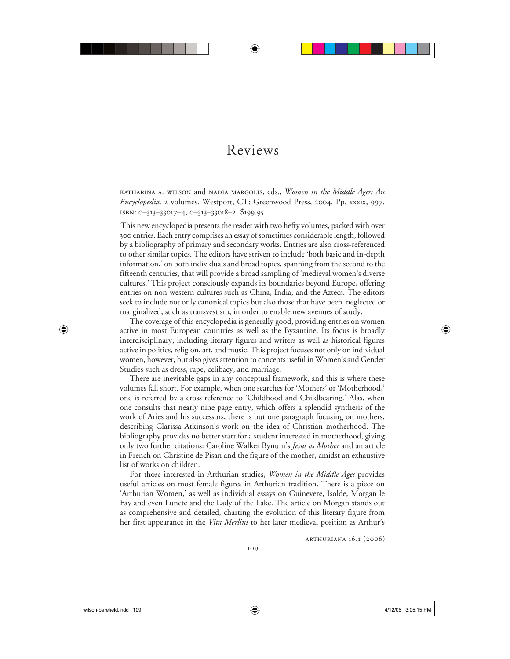## Reviews

⊕

katharina a. wilson and nadia margolis, eds., *Women in the Middle Ages: An Encyclopedia*. 2 volumes. Westport, CT: Greenwood Press, 2004. Pp. xxxix, 997. isbn: 0–313–33017–4, 0–313–33018–2. \$199.95.

This new encyclopedia presents the reader with two hefty volumes, packed with over 300 entries. Each entry comprises an essay of sometimes considerable length, followed by a bibliography of primary and secondary works. Entries are also cross-referenced to other similar topics. The editors have striven to include 'both basic and in-depth information,' on both individuals and broad topics, spanning from the second to the fifteenth centuries, that will provide a broad sampling of 'medieval women's diverse cultures.' This project consciously expands its boundaries beyond Europe, offering entries on non-western cultures such as China, India, and the Aztecs. The editors seek to include not only canonical topics but also those that have been neglected or marginalized, such as transvestism, in order to enable new avenues of study.

The coverage of this encyclopedia is generally good, providing entries on women active in most European countries as well as the Byzantine. Its focus is broadly interdisciplinary, including literary figures and writers as well as historical figures active in politics, religion, art, and music. This project focuses not only on individual women, however, but also gives attention to concepts useful in Women's and Gender Studies such as dress, rape, celibacy, and marriage.

There are inevitable gaps in any conceptual framework, and this is where these volumes fall short. For example, when one searches for 'Mothers' or 'Motherhood,' one is referred by a cross reference to 'Childhood and Childbearing.' Alas, when one consults that nearly nine page entry, which offers a splendid synthesis of the work of Aries and his successors, there is but one paragraph focusing on mothers, describing Clarissa Atkinson's work on the idea of Christian motherhood. The bibliography provides no better start for a student interested in motherhood, giving only two further citations: Caroline Walker Bynum's *Jesus as Mother* and an article in French on Christine de Pisan and the figure of the mother, amidst an exhaustive list of works on children.

For those interested in Arthurian studies, *Women in the Middle Ages* provides useful articles on most female figures in Arthurian tradition. There is a piece on 'Arthurian Women,' as well as individual essays on Guinevere, Isolde, Morgan le Fay and even Lunete and the Lady of the Lake. The article on Morgan stands out as comprehensive and detailed, charting the evolution of this literary figure from her first appearance in the *Vita Merlini* to her later medieval position as Arthur's

arthuriana 16.1 (2006)

 $\bigoplus$ 

⊕